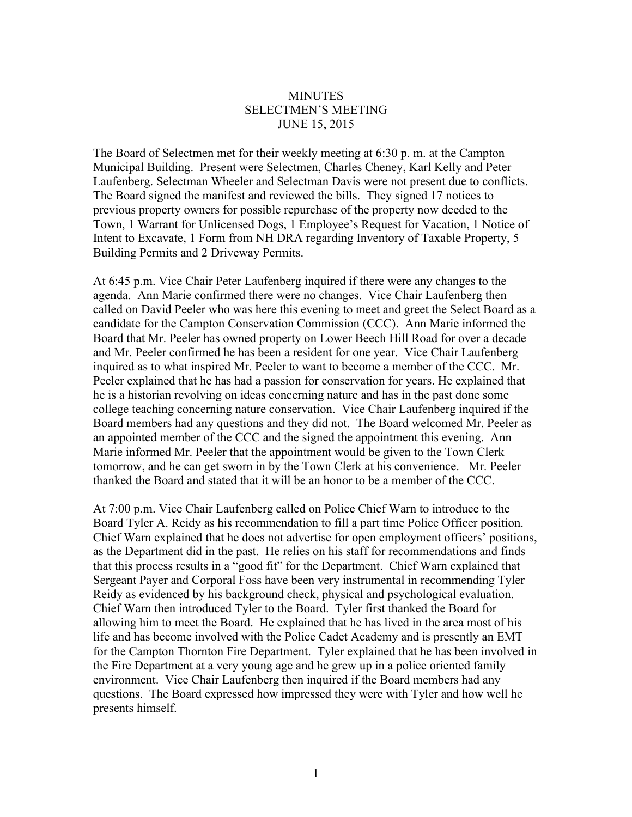## **MINUTES** SELECTMEN'S MEETING JUNE 15, 2015

The Board of Selectmen met for their weekly meeting at 6:30 p. m. at the Campton Municipal Building. Present were Selectmen, Charles Cheney, Karl Kelly and Peter Laufenberg. Selectman Wheeler and Selectman Davis were not present due to conflicts. The Board signed the manifest and reviewed the bills. They signed 17 notices to previous property owners for possible repurchase of the property now deeded to the Town, 1 Warrant for Unlicensed Dogs, 1 Employee's Request for Vacation, 1 Notice of Intent to Excavate, 1 Form from NH DRA regarding Inventory of Taxable Property, 5 Building Permits and 2 Driveway Permits.

At 6:45 p.m. Vice Chair Peter Laufenberg inquired if there were any changes to the agenda. Ann Marie confirmed there were no changes. Vice Chair Laufenberg then called on David Peeler who was here this evening to meet and greet the Select Board as a candidate for the Campton Conservation Commission (CCC). Ann Marie informed the Board that Mr. Peeler has owned property on Lower Beech Hill Road for over a decade and Mr. Peeler confirmed he has been a resident for one year. Vice Chair Laufenberg inquired as to what inspired Mr. Peeler to want to become a member of the CCC. Mr. Peeler explained that he has had a passion for conservation for years. He explained that he is a historian revolving on ideas concerning nature and has in the past done some college teaching concerning nature conservation. Vice Chair Laufenberg inquired if the Board members had any questions and they did not. The Board welcomed Mr. Peeler as an appointed member of the CCC and the signed the appointment this evening. Ann Marie informed Mr. Peeler that the appointment would be given to the Town Clerk tomorrow, and he can get sworn in by the Town Clerk at his convenience. Mr. Peeler thanked the Board and stated that it will be an honor to be a member of the CCC.

At 7:00 p.m. Vice Chair Laufenberg called on Police Chief Warn to introduce to the Board Tyler A. Reidy as his recommendation to fill a part time Police Officer position. Chief Warn explained that he does not advertise for open employment officers' positions, as the Department did in the past. He relies on his staff for recommendations and finds that this process results in a "good fit" for the Department. Chief Warn explained that Sergeant Payer and Corporal Foss have been very instrumental in recommending Tyler Reidy as evidenced by his background check, physical and psychological evaluation. Chief Warn then introduced Tyler to the Board. Tyler first thanked the Board for allowing him to meet the Board. He explained that he has lived in the area most of his life and has become involved with the Police Cadet Academy and is presently an EMT for the Campton Thornton Fire Department. Tyler explained that he has been involved in the Fire Department at a very young age and he grew up in a police oriented family environment. Vice Chair Laufenberg then inquired if the Board members had any questions. The Board expressed how impressed they were with Tyler and how well he presents himself.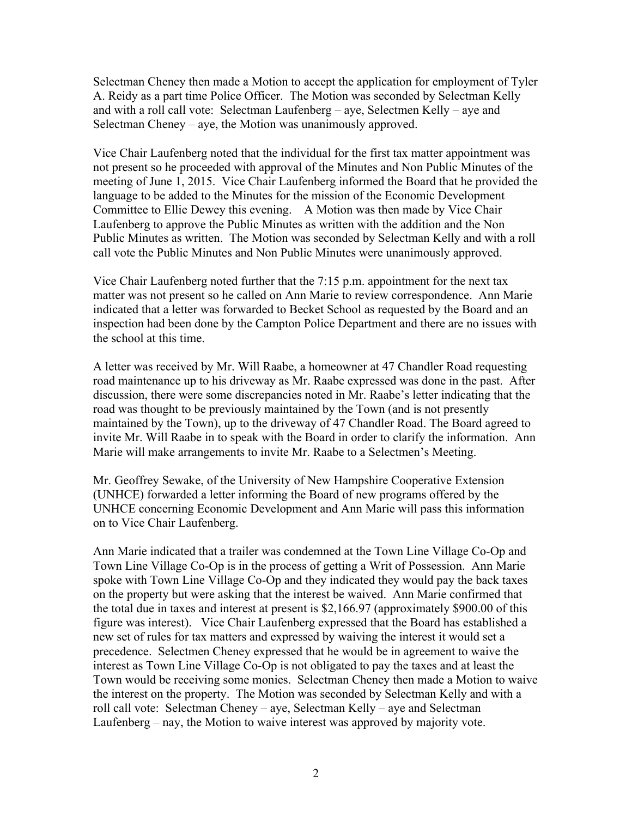Selectman Cheney then made a Motion to accept the application for employment of Tyler A. Reidy as a part time Police Officer. The Motion was seconded by Selectman Kelly and with a roll call vote: Selectman Laufenberg – aye, Selectmen Kelly – aye and Selectman Cheney – aye, the Motion was unanimously approved.

Vice Chair Laufenberg noted that the individual for the first tax matter appointment was not present so he proceeded with approval of the Minutes and Non Public Minutes of the meeting of June 1, 2015. Vice Chair Laufenberg informed the Board that he provided the language to be added to the Minutes for the mission of the Economic Development Committee to Ellie Dewey this evening. A Motion was then made by Vice Chair Laufenberg to approve the Public Minutes as written with the addition and the Non Public Minutes as written. The Motion was seconded by Selectman Kelly and with a roll call vote the Public Minutes and Non Public Minutes were unanimously approved.

Vice Chair Laufenberg noted further that the 7:15 p.m. appointment for the next tax matter was not present so he called on Ann Marie to review correspondence. Ann Marie indicated that a letter was forwarded to Becket School as requested by the Board and an inspection had been done by the Campton Police Department and there are no issues with the school at this time.

A letter was received by Mr. Will Raabe, a homeowner at 47 Chandler Road requesting road maintenance up to his driveway as Mr. Raabe expressed was done in the past. After discussion, there were some discrepancies noted in Mr. Raabe's letter indicating that the road was thought to be previously maintained by the Town (and is not presently maintained by the Town), up to the driveway of 47 Chandler Road. The Board agreed to invite Mr. Will Raabe in to speak with the Board in order to clarify the information. Ann Marie will make arrangements to invite Mr. Raabe to a Selectmen's Meeting.

Mr. Geoffrey Sewake, of the University of New Hampshire Cooperative Extension (UNHCE) forwarded a letter informing the Board of new programs offered by the UNHCE concerning Economic Development and Ann Marie will pass this information on to Vice Chair Laufenberg.

Ann Marie indicated that a trailer was condemned at the Town Line Village Co-Op and Town Line Village Co-Op is in the process of getting a Writ of Possession. Ann Marie spoke with Town Line Village Co-Op and they indicated they would pay the back taxes on the property but were asking that the interest be waived. Ann Marie confirmed that the total due in taxes and interest at present is \$2,166.97 (approximately \$900.00 of this figure was interest). Vice Chair Laufenberg expressed that the Board has established a new set of rules for tax matters and expressed by waiving the interest it would set a precedence. Selectmen Cheney expressed that he would be in agreement to waive the interest as Town Line Village Co-Op is not obligated to pay the taxes and at least the Town would be receiving some monies. Selectman Cheney then made a Motion to waive the interest on the property. The Motion was seconded by Selectman Kelly and with a roll call vote: Selectman Cheney – aye, Selectman Kelly – aye and Selectman Laufenberg – nay, the Motion to waive interest was approved by majority vote.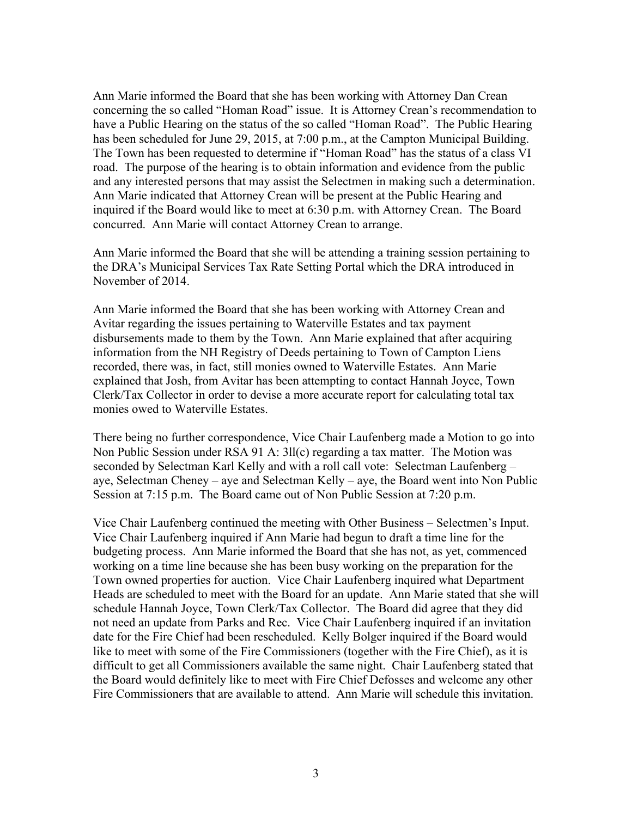Ann Marie informed the Board that she has been working with Attorney Dan Crean concerning the so called "Homan Road" issue. It is Attorney Crean's recommendation to have a Public Hearing on the status of the so called "Homan Road". The Public Hearing has been scheduled for June 29, 2015, at 7:00 p.m., at the Campton Municipal Building. The Town has been requested to determine if "Homan Road" has the status of a class VI road. The purpose of the hearing is to obtain information and evidence from the public and any interested persons that may assist the Selectmen in making such a determination. Ann Marie indicated that Attorney Crean will be present at the Public Hearing and inquired if the Board would like to meet at 6:30 p.m. with Attorney Crean. The Board concurred. Ann Marie will contact Attorney Crean to arrange.

Ann Marie informed the Board that she will be attending a training session pertaining to the DRA's Municipal Services Tax Rate Setting Portal which the DRA introduced in November of 2014.

Ann Marie informed the Board that she has been working with Attorney Crean and Avitar regarding the issues pertaining to Waterville Estates and tax payment disbursements made to them by the Town. Ann Marie explained that after acquiring information from the NH Registry of Deeds pertaining to Town of Campton Liens recorded, there was, in fact, still monies owned to Waterville Estates. Ann Marie explained that Josh, from Avitar has been attempting to contact Hannah Joyce, Town Clerk/Tax Collector in order to devise a more accurate report for calculating total tax monies owed to Waterville Estates.

There being no further correspondence, Vice Chair Laufenberg made a Motion to go into Non Public Session under RSA 91 A: 3ll(c) regarding a tax matter. The Motion was seconded by Selectman Karl Kelly and with a roll call vote: Selectman Laufenberg – aye, Selectman Cheney – aye and Selectman Kelly – aye, the Board went into Non Public Session at 7:15 p.m. The Board came out of Non Public Session at 7:20 p.m.

Vice Chair Laufenberg continued the meeting with Other Business – Selectmen's Input. Vice Chair Laufenberg inquired if Ann Marie had begun to draft a time line for the budgeting process. Ann Marie informed the Board that she has not, as yet, commenced working on a time line because she has been busy working on the preparation for the Town owned properties for auction. Vice Chair Laufenberg inquired what Department Heads are scheduled to meet with the Board for an update. Ann Marie stated that she will schedule Hannah Joyce, Town Clerk/Tax Collector. The Board did agree that they did not need an update from Parks and Rec. Vice Chair Laufenberg inquired if an invitation date for the Fire Chief had been rescheduled. Kelly Bolger inquired if the Board would like to meet with some of the Fire Commissioners (together with the Fire Chief), as it is difficult to get all Commissioners available the same night. Chair Laufenberg stated that the Board would definitely like to meet with Fire Chief Defosses and welcome any other Fire Commissioners that are available to attend. Ann Marie will schedule this invitation.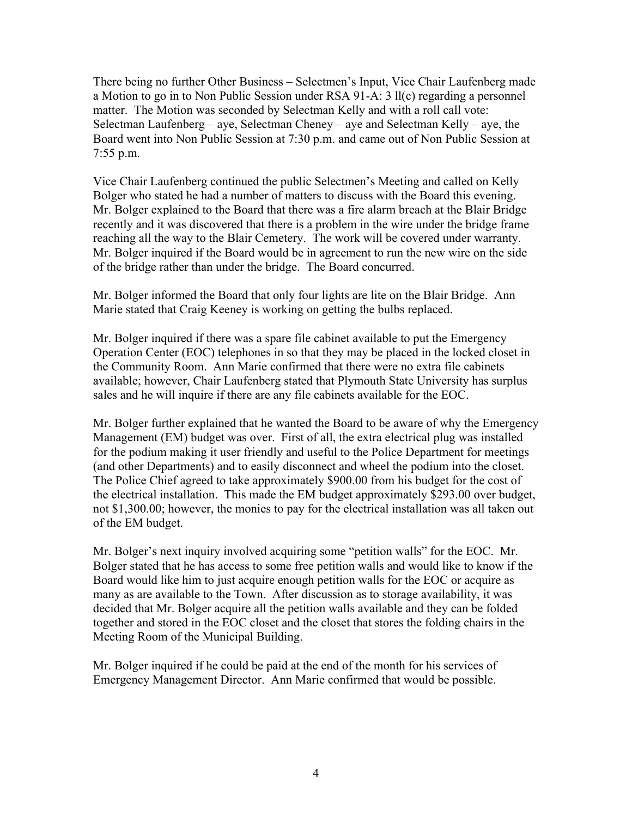There being no further Other Business – Selectmen's Input, Vice Chair Laufenberg made a Motion to go in to Non Public Session under RSA 91-A: 3 ll(c) regarding a personnel matter. The Motion was seconded by Selectman Kelly and with a roll call vote: Selectman Laufenberg – aye, Selectman Cheney – aye and Selectman Kelly – aye, the Board went into Non Public Session at 7:30 p.m. and came out of Non Public Session at 7:55 p.m.

Vice Chair Laufenberg continued the public Selectmen's Meeting and called on Kelly Bolger who stated he had a number of matters to discuss with the Board this evening. Mr. Bolger explained to the Board that there was a fire alarm breach at the Blair Bridge recently and it was discovered that there is a problem in the wire under the bridge frame reaching all the way to the Blair Cemetery. The work will be covered under warranty. Mr. Bolger inquired if the Board would be in agreement to run the new wire on the side of the bridge rather than under the bridge. The Board concurred.

Mr. Bolger informed the Board that only four lights are lite on the Blair Bridge. Ann Marie stated that Craig Keeney is working on getting the bulbs replaced.

Mr. Bolger inquired if there was a spare file cabinet available to put the Emergency Operation Center (EOC) telephones in so that they may be placed in the locked closet in the Community Room. Ann Marie confirmed that there were no extra file cabinets available; however, Chair Laufenberg stated that Plymouth State University has surplus sales and he will inquire if there are any file cabinets available for the EOC.

Mr. Bolger further explained that he wanted the Board to be aware of why the Emergency Management (EM) budget was over. First of all, the extra electrical plug was installed for the podium making it user friendly and useful to the Police Department for meetings (and other Departments) and to easily disconnect and wheel the podium into the closet. The Police Chief agreed to take approximately \$900.00 from his budget for the cost of the electrical installation. This made the EM budget approximately \$293.00 over budget, not \$1,300.00; however, the monies to pay for the electrical installation was all taken out of the EM budget.

Mr. Bolger's next inquiry involved acquiring some "petition walls" for the EOC. Mr. Bolger stated that he has access to some free petition walls and would like to know if the Board would like him to just acquire enough petition walls for the EOC or acquire as many as are available to the Town. After discussion as to storage availability, it was decided that Mr. Bolger acquire all the petition walls available and they can be folded together and stored in the EOC closet and the closet that stores the folding chairs in the Meeting Room of the Municipal Building.

Mr. Bolger inquired if he could be paid at the end of the month for his services of Emergency Management Director. Ann Marie confirmed that would be possible.